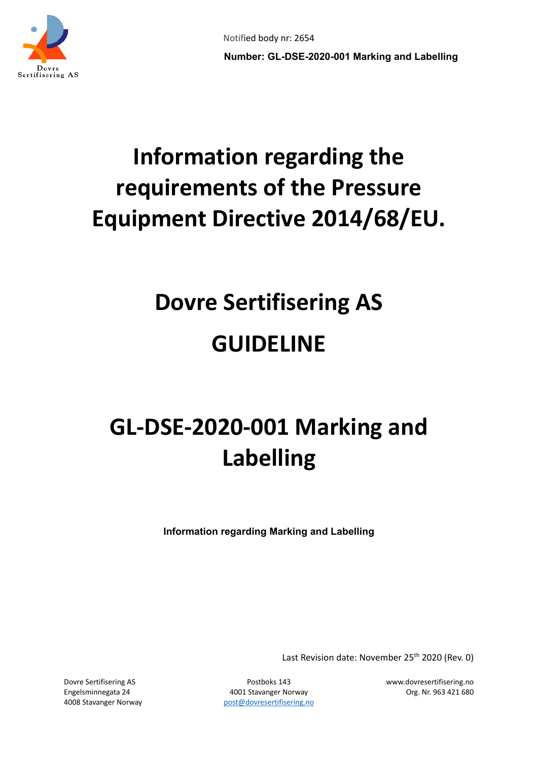

# **Information regarding the requirements of the Pressure Equipment Directive 2014/68/EU.**

# **Dovre Sertifisering AS GUIDELINE**

# **GL-DSE-2020-001 Marking and Labelling**

**Information regarding Marking and Labelling**

Last Revision date: November 25<sup>th</sup> 2020 (Rev. 0)

Engelsminnegata 24 4001 Stavanger Norway Org. Nr. 963 421 680 4008 Stavanger Norway bost [post@dovresertifisering.no](mailto:post@dovresertifisering.no)

Dovre Sertifisering AS Postboks 143 www.dovresertifisering.no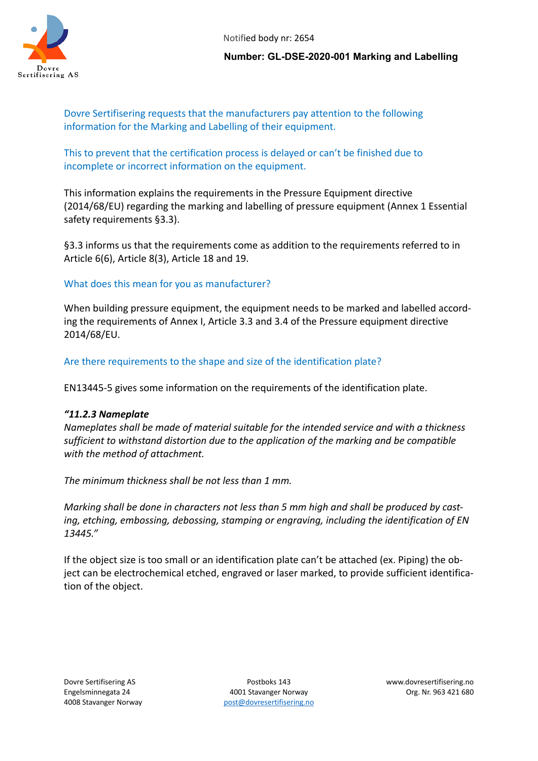

Notified body nr: 2654

**Number: GL-DSE-2020-001 Marking and Labelling**

Dovre Sertifisering requests that the manufacturers pay attention to the following information for the Marking and Labelling of their equipment.

This to prevent that the certification process is delayed or can't be finished due to incomplete or incorrect information on the equipment.

This information explains the requirements in the Pressure Equipment directive (2014/68/EU) regarding the marking and labelling of pressure equipment (Annex 1 Essential safety requirements §3.3).

§3.3 informs us that the requirements come as addition to the requirements referred to in Article 6(6), Article 8(3), Article 18 and 19.

# What does this mean for you as manufacturer?

When building pressure equipment, the equipment needs to be marked and labelled according the requirements of Annex I, Article 3.3 and 3.4 of the Pressure equipment directive 2014/68/EU.

Are there requirements to the shape and size of the identification plate?

EN13445-5 gives some information on the requirements of the identification plate.

# *"11.2.3 Nameplate*

*Nameplates shall be made of material suitable for the intended service and with a thickness sufficient to withstand distortion due to the application of the marking and be compatible with the method of attachment.* 

*The minimum thickness shall be not less than 1 mm.*

*Marking shall be done in characters not less than 5 mm high and shall be produced by casting, etching, embossing, debossing, stamping or engraving, including the identification of EN 13445."*

If the object size is too small or an identification plate can't be attached (ex. Piping) the object can be electrochemical etched, engraved or laser marked, to provide sufficient identification of the object.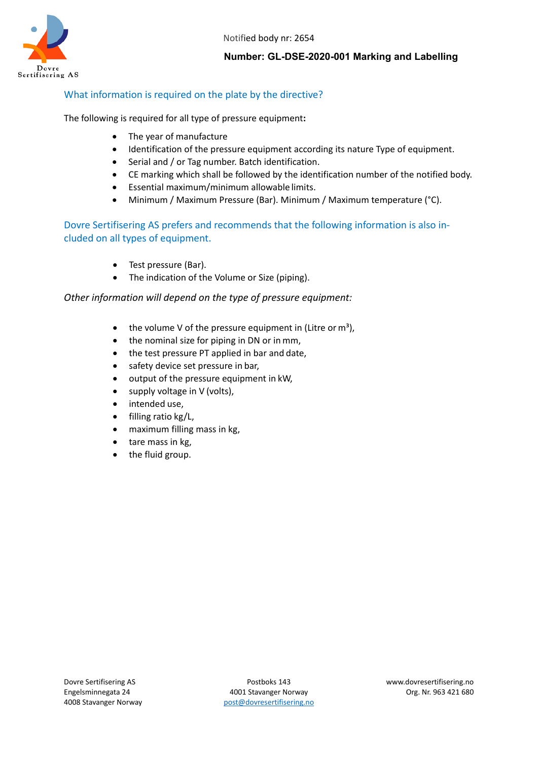

Notified body nr: 2654

**Number: GL-DSE-2020-001 Marking and Labelling**

# What information is required on the plate by the directive?

The following is required for all type of pressure equipment**:**

- The year of manufacture
- Identification of the pressure equipment according its nature Type of equipment.
- Serial and / or Tag number. Batch identification.
- CE marking which shall be followed by the identification number of the notified body.
- Essential maximum/minimum allowable limits.
- Minimum / Maximum Pressure (Bar). Minimum / Maximum temperature (°C).

Dovre Sertifisering AS prefers and recommends that the following information is also included on all types of equipment.

- Test pressure (Bar).
- The indication of the Volume or Size (piping).

#### *Other information will depend on the type of pressure equipment:*

- the volume V of the pressure equipment in (Litre or  $m^3$ ),
- the nominal size for piping in DN or in mm,
- the test pressure PT applied in bar and date,
- safety device set pressure in bar,
- output of the pressure equipment in kW,
- supply voltage in V (volts),
- intended use,
- filling ratio kg/L,
- maximum filling mass in kg,
- tare mass in kg,
- the fluid group.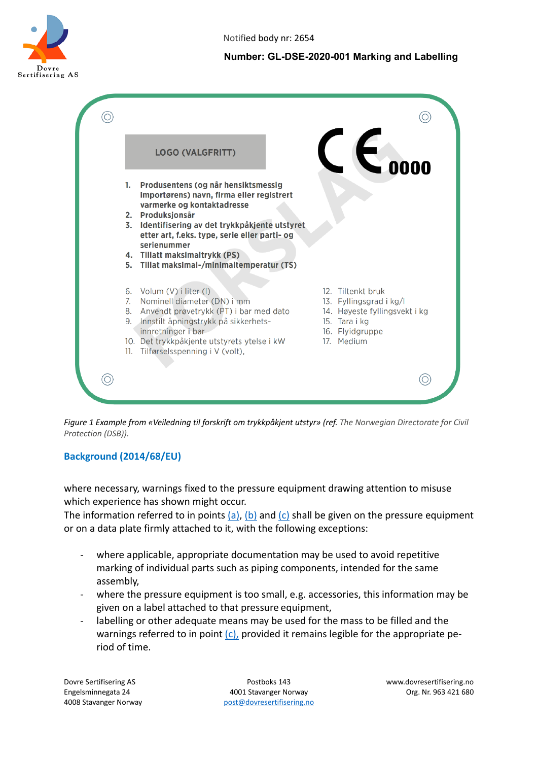

## **Number: GL-DSE-2020-001 Marking and Labelling**



*Figure 1 Example from «Veiledning til forskrift om trykkpåkjent utstyr» (ref. The Norwegian Directorate for Civil Protection (DSB)).*

# **Background (2014/68/EU)**

where necessary, warnings fixed to the pressure equipment drawing attention to misuse which experience has shown might occur.

The information referred to in points  $(a)$ ,  $(b)$  and  $(c)$  shall be given on the pressure equipment or on a data plate firmly attached to it, with the following exceptions:

- where applicable, appropriate documentation may be used to avoid repetitive marking of individual parts such as piping components, intended for the same assembly,
- where the pressure equipment is too small, e.g. accessories, this information may be given on a label attached to that pressure equipment,
- labelling or other adequate means may be used for the mass to be filled and the warnings referred to in point  $(c)$ , provided it remains legible for the appropriate period of time.

Engelsminnegata 24 4001 Stavanger Norway Org. Nr. 963 421 680 4008 Stavanger Norway bost [post@dovresertifisering.no](mailto:post@dovresertifisering.no)

Dovre Sertifisering AS Postboks 143 www.dovresertifisering.no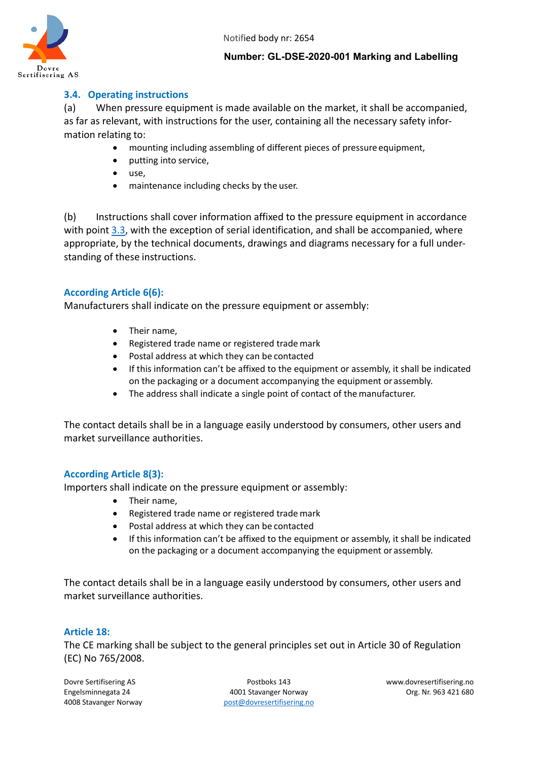



#### **Number: GL-DSE-2020-001 Marking and Labelling**

## **3.4. Operating instructions**

(a) When pressure equipment is made available on the market, it shall be accompanied, as far as relevant, with instructions for the user, containing all the necessary safety information relating to:

- mounting including assembling of different pieces of pressure equipment,
- putting into service,
- use,
- maintenance including checks by the user.

(b) Instructions shall cover information affixed to the pressure equipment in accordance with point [3.3,](http://www.netinform.de/Vorschriften/EuropRichtlinien/Richtlinie%202014%2068%20EU%20PED_en/en/AI.htm#3.3) with the exception of serial identification, and shall be accompanied, where appropriate, by the technical documents, drawings and diagrams necessary for a full understanding of these instructions.

#### **According Article 6(6):**

Manufacturers shall indicate on the pressure equipment or assembly:

- Their name,
- Registered trade name or registered trade mark
- Postal address at which they can be contacted
- If this information can't be affixed to the equipment or assembly, it shall be indicated on the packaging or a document accompanying the equipment or assembly.
- The address shall indicate a single point of contact of the manufacturer.

The contact details shall be in a language easily understood by consumers, other users and market surveillance authorities.

#### **According Article 8(3):**

Importers shall indicate on the pressure equipment or assembly:

- Their name,
- Registered trade name or registered trade mark
- Postal address at which they can be contacted
- If this information can't be affixed to the equipment or assembly, it shall be indicated on the packaging or a document accompanying the equipment or assembly.

The contact details shall be in a language easily understood by consumers, other users and market surveillance authorities.

#### **Article 18:**

The CE marking shall be subject to the general principles set out in Article 30 of Regulation (EC) No 765/2008.

Engelsminnegata 24 4001 Stavanger Norway Org. Nr. 963 421 680 4008 Stavanger Norway bost [post@dovresertifisering.no](mailto:post@dovresertifisering.no)

Dovre Sertifisering AS Postboks 143 www.dovresertifisering.no